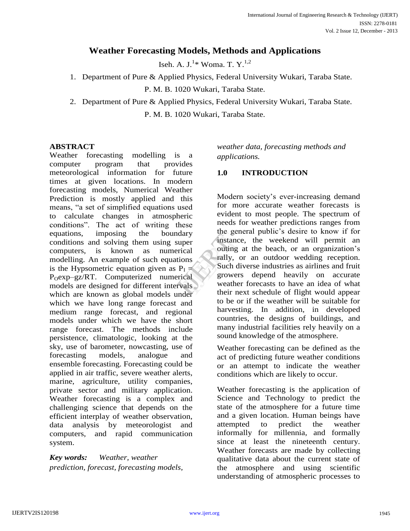# **Weather Forecasting Models, Methods and Applications**

Iseh. A. J. $^{1*}$  Woma. T.  $Y.^{1,2}$ 

1. Department of Pure & Applied Physics, Federal University Wukari, Taraba State.

P. M. B. 1020 Wukari, Taraba State.

2. Department of Pure & Applied Physics, Federal University Wukari, Taraba State. P. M. B. 1020 Wukari, Taraba State.

#### **ABSTRACT**

Weather forecasting modelling is a computer program that provides meteorological information for future times at given locations. In modern forecasting models, Numerical Weather Prediction is mostly applied and this means, "a set of simplified equations used to calculate changes in atmospheric conditions". The act of writing these equations, imposing the boundary conditions and solving them using super computers, is known as numerical modelling. An example of such equations is the Hypsometric equation given as  $P_I =$ P<sub>O</sub>exp–gz/RT. Computerized numerical models are designed for different intervals which are known as global models under which we have long range forecast and medium range forecast, and regional models under which we have the short range forecast. The methods include persistence, climatologic, looking at the sky, use of barometer, nowcasting, use of forecasting models, analogue and ensemble forecasting. Forecasting could be applied in air traffic, severe weather alerts, marine, agriculture, utility companies, private sector and military application. Weather forecasting is a complex and challenging science that depends on the efficient interplay of weather observation, data analysis by meteorologist and computers, and rapid communication system.

*Key words: Weather, weather prediction, forecast, forecasting models,*  *weather data, forecasting methods and applications.*

## **1.0 INTRODUCTION**

Modern society's ever-increasing demand for more accurate weather forecasts is evident to most people. The spectrum of needs for weather predictions ranges from the general public's desire to know if for instance, the weekend will permit an outing at the beach, or an organization's rally, or an outdoor wedding reception. Such diverse industries as airlines and fruit growers depend heavily on accurate weather forecasts to have an idea of what their next schedule of flight would appear to be or if the weather will be suitable for harvesting. In addition, in developed countries, the designs of buildings, and many industrial facilities rely heavily on a sound knowledge of the atmosphere. ary<br>
per<br>
cal<br>
ons<br>
ally, or<br>
ally, or<br>
ally, or<br>
ally, or<br>
such div<br>
growers<br>
weather<br>
their nex

> Weather forecasting can be defined as the act of predicting future weather conditions or an attempt to indicate the weather conditions which are likely to occur.

> Weather forecasting is the application of Science and Technology to predict the state of the atmosphere for a future time and a given location. Human beings have attempted to predict the weather informally for millennia, and formally since at least the nineteenth century. Weather forecasts are made by collecting qualitative data about the current state of the atmosphere and using scientific understanding of atmospheric processes to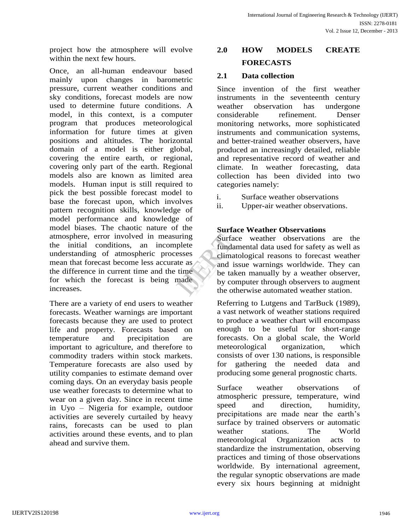project how the atmosphere will evolve within the next few hours.

Once, an all-human endeavour based mainly upon changes in barometric pressure, current weather conditions and sky conditions, forecast models are now used to determine future conditions. A model, in this context, is a computer program that produces meteorological information for future times at given positions and altitudes. The horizontal domain of a model is either global, covering the entire earth, or regional, covering only part of the earth. Regional models also are known as limited area models. Human input is still required to pick the best possible forecast model to base the forecast upon, which involves pattern recognition skills, knowledge of model performance and knowledge of model biases. The chaotic nature of the atmosphere, error involved in measuring the initial conditions, an incomplete understanding of atmospheric processes mean that forecast become less accurate as the difference in current time and the time for which the forecast is being made increases.

There are a variety of end users to weather forecasts. Weather warnings are important forecasts because they are used to protect life and property. Forecasts based on temperature and precipitation are important to agriculture, and therefore to commodity traders within stock markets. Temperature forecasts are also used by utility companies to estimate demand over coming days. On an everyday basis people use weather forecasts to determine what to wear on a given day. Since in recent time in Uyo – Nigeria for example, outdoor activities are severely curtailed by heavy rains, forecasts can be used to plan activities around these events, and to plan ahead and survive them.

# **2.0 HOW MODELS CREATE FORECASTS**

## **2.1 Data collection**

Since invention of the first weather instruments in the seventeenth century weather observation has undergone considerable refinement. Denser monitoring networks, more sophisticated instruments and communication systems, and better-trained weather observers, have produced an increasingly detailed, reliable and representative record of weather and climate. In weather forecasting, data collection has been divided into two categories namely:

- i. Surface weather observations
- ii. Upper-air weather observations.

## **Surface Weather Observations**

Surface weather observations are the fundamental data used for safety as well as climatological reasons to forecast weather and issue warnings worldwide. They can be taken manually by a weather observer, by computer through observers to augment the otherwise automated weather station. Fourface<br>
ete<br>
fundame<br>
ses<br>
and issue<br>
and issue<br>
by comp<br>
the other

> Referring to Lutgens and TarBuck (1989), a vast network of weather stations required to produce a weather chart will encompass enough to be useful for short-range forecasts. On a global scale, the World meteorological organization, which consists of over 130 nations, is responsible for gathering the needed data and producing some general prognostic charts.

> Surface weather observations of atmospheric pressure, temperature, wind speed and direction, humidity, precipitations are made near the earth's surface by trained observers or automatic weather stations. The World meteorological Organization acts to standardize the instrumentation, observing practices and timing of those observations worldwide. By international agreement, the regular synoptic observations are made every six hours beginning at midnight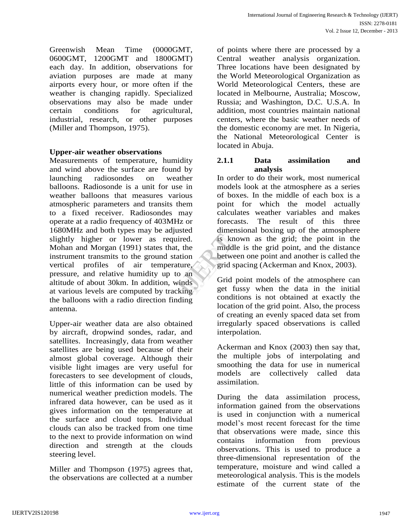Greenwish Mean Time (0000GMT, 0600GMT, 1200GMT and 1800GMT) each day. In addition, observations for aviation purposes are made at many airports every hour, or more often if the weather is changing rapidly. Specialized observations may also be made under certain conditions for agricultural, industrial, research, or other purposes (Miller and Thompson, 1975).

#### **Upper-air weather observations**

Measurements of temperature, humidity and wind above the surface are found by launching radiosondes on weather balloons. Radiosonde is a unit for use in weather balloons that measures various atmospheric parameters and transits them to a fixed receiver. Radiosondes may operate at a radio frequency of 403MHz or 1680MHz and both types may be adjusted slightly higher or lower as required. Mohan and Morgan (1991) states that, the instrument transmits to the ground station vertical profiles of air temperature, pressure, and relative humidity up to an altitude of about 30km. In addition, winds at various levels are computed by tracking the balloons with a radio direction finding antenna.

Upper-air weather data are also obtained by aircraft, dropwind sondes, radar, and satellites. Increasingly, data from weather satellites are being used because of their almost global coverage. Although their visible light images are very useful for forecasters to see development of clouds, little of this information can be used by numerical weather prediction models. The infrared data however, can be used as it gives information on the temperature at the surface and cloud tops. Individual clouds can also be tracked from one time to the next to provide information on wind direction and strength at the clouds steering level.

Miller and Thompson (1975) agrees that, the observations are collected at a number of points where there are processed by a Central weather analysis organization. Three locations have been designated by the World Meteorological Organization as World Meteorological Centers, these are located in Melbourne, Australia; Moscow, Russia; and Washington, D.C. U.S.A. In addition, most countries maintain national centers, where the basic weather needs of the domestic economy are met. In Nigeria, the National Meteorological Center is located in Abuja.

#### **2.1.1 Data assimilation and analysis**

In order to do their work, most numerical models look at the atmosphere as a series of boxes. In the middle of each box is a point for which the model actually calculates weather variables and makes forecasts. The result of this three dimensional boxing up of the atmosphere is known as the grid; the point in the middle is the grid point, and the distance between one point and another is called the grid spacing (Ackerman and Knox, 2003). Ed.<br>
is know<br>
the middle i<br>
ion<br>
between<br>
ure,<br>
grid space<br>
an<br>
Grid poi<br>
get fuss

Grid point models of the atmosphere can get fussy when the data in the initial conditions is not obtained at exactly the location of the grid point. Also, the process of creating an evenly spaced data set from irregularly spaced observations is called interpolation.

Ackerman and Knox (2003) then say that, the multiple jobs of interpolating and smoothing the data for use in numerical models are collectively called data assimilation.

During the data assimilation process, information gained from the observations is used in conjunction with a numerical model's most recent forecast for the time that observations were made, since this contains information from previous observations. This is used to produce a three-dimensional representation of the temperature, moisture and wind called a meteorological analysis. This is the models estimate of the current state of the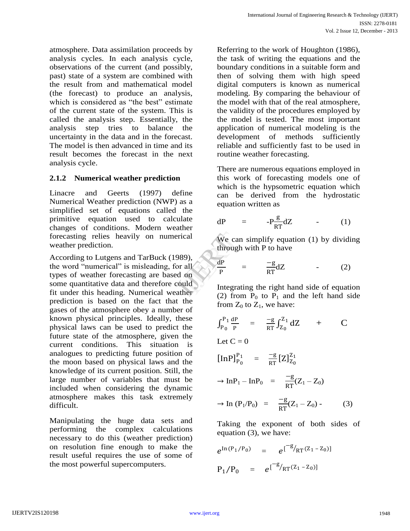atmosphere. Data assimilation proceeds by analysis cycles. In each analysis cycle, observations of the current (and possibly, past) state of a system are combined with the result from and mathematical model (the forecast) to produce an analysis, which is considered as "the best" estimate of the current state of the system. This is called the analysis step. Essentially, the analysis step tries to balance the uncertainty in the data and in the forecast. The model is then advanced in time and its result becomes the forecast in the next analysis cycle.

## **2.1.2 Numerical weather prediction**

Linacre and Geerts (1997) define Numerical Weather prediction (NWP) as a simplified set of equations called the primitive equation used to calculate changes of conditions. Modern weather forecasting relies heavily on numerical weather prediction.

According to Lutgens and TarBuck (1989), the word "numerical" is misleading, for all types of weather forecasting are based on some quantitative data and therefore could fit under this heading. Numerical weather prediction is based on the fact that the gases of the atmosphere obey a number of known physical principles. Ideally, these physical laws can be used to predict the future state of the atmosphere, given the current conditions. This situation is analogues to predicting future position of the moon based on physical laws and the knowledge of its current position. Still, the large number of variables that must be included when considering the dynamic atmosphere makes this task extremely difficult. cal<br>
We can<br>
through<br>
(39),<br>
all<br>
on<br>  $\frac{dP}{P}$  =<br>
Integration<br>  $\frac{dP}{P}$  =<br>
Integration<br>  $\frac{dP}{P}$  =

Manipulating the huge data sets and performing the complex calculations necessary to do this (weather prediction) on resolution fine enough to make the result useful requires the use of some of the most powerful supercomputers.

Referring to the work of Houghton (1986), the task of writing the equations and the boundary conditions in a suitable form and then of solving them with high speed digital computers is known as numerical modeling. By comparing the behaviour of the model with that of the real atmosphere, the validity of the procedures employed by the model is tested. The most important application of numerical modeling is the development of methods sufficiently reliable and sufficiently fast to be used in routine weather forecasting.

There are numerous equations employed in this work of forecasting models one of which is the hypsometric equation which can be derived from the hydrostatic equation written as

$$
dP = -P\frac{g}{RT}dZ \qquad (1)
$$

We can simplify equation (1) by dividing through with P to have

$$
\frac{dP}{P} = \frac{-g}{RT}dZ
$$
 (2)

Integrating the right hand side of equation (2) from  $P_0$  to  $P_1$  and the left hand side from  $Z_0$  to  $Z_1$ , we have:

$$
\int_{P_0}^{P_1} \frac{dP}{P} = \frac{-g}{RT} \int_{Z_0}^{Z_1} dZ + C
$$

Let  $C = 0$ 

$$
[InP]_{P_0}^{P_1} = \frac{-g}{RT} [Z]_{Z_0}^{Z_1}
$$

$$
\rightarrow \text{InP}_1 - \text{InP}_0 = \frac{-g}{RT}(Z_1 - Z_0)
$$

$$
\to \ln (P_1/P_0) = \frac{-g}{RT}(Z_1 - Z_0) \ . \tag{3}
$$

Taking the exponent of both sides of equation (3), we have:

$$
e^{\ln(P_1/P_0)} = e^{\left[\frac{-g}{R_T}(Z_1 - Z_0)\right]}
$$
  
\n $P_1/P_0 = e^{\left[\frac{-g}{R_T}(Z_1 - Z_0)\right]}$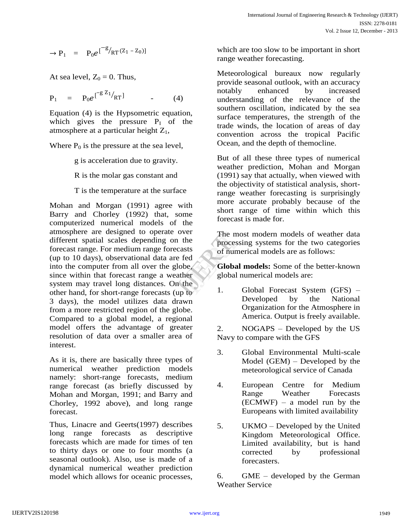$$
\rightarrow P_1 = P_0 e^{[\begin{matrix} -g \\ R}T^{(Z_1 - Z_0) \end{matrix}]}
$$

At sea level,  $Z_0 = 0$ . Thus,

$$
P_1 = P_0 e^{\int^{-g} Z_1} /_{RT} \qquad (4)
$$

Equation (4) is the Hypsometric equation, which gives the pressure  $P_1$  of the atmosphere at a particular height  $Z_1$ ,

Where  $P_0$  is the pressure at the sea level,

g is acceleration due to gravity.

R is the molar gas constant and

T is the temperature at the surface

Mohan and Morgan (1991) agree with Barry and Chorley (1992) that, some computerized numerical models of the atmosphere are designed to operate over different spatial scales depending on the forecast range. For medium range forecasts (up to 10 days), observational data are fed into the computer from all over the globe, since within that forecast range a weather system may travel long distances. On the other hand, for short-range forecasts (up to 3 days), the model utilizes data drawn from a more restricted region of the globe. Compared to a global model, a regional model offers the advantage of greater resolution of data over a smaller area of interest. Ver The most<br>the processin<br>fed<br>be, Global r<br>the global number<br>the 1.

As it is, there are basically three types of numerical weather prediction models namely: short-range forecasts, medium range forecast (as briefly discussed by Mohan and Morgan, 1991; and Barry and Chorley, 1992 above), and long range forecast.

Thus, Linacre and Geerts(1997) describes long range forecasts as descriptive forecasts which are made for times of ten to thirty days or one to four months (a seasonal outlook). Also, use is made of a dynamical numerical weather prediction model which allows for oceanic processes, which are too slow to be important in short range weather forecasting.

Meteorological bureaux now regularly provide seasonal outlook, with an accuracy notably enhanced by increased understanding of the relevance of the southern oscillation, indicated by the sea surface temperatures, the strength of the trade winds, the location of areas of day convention across the tropical Pacific Ocean, and the depth of themocline.

But of all these three types of numerical weather prediction, Mohan and Morgan (1991) say that actually, when viewed with the objectivity of statistical analysis, shortrange weather forecasting is surprisingly more accurate probably because of the short range of time within which this forecast is made for.

The most modern models of weather data processing systems for the two categories of numerical models are as follows:

**Global models:** Some of the better-known global numerical models are:

1. Global Forecast System (GFS) – Developed by the National Organization for the Atmosphere in America. Output is freely available.

2. NOGAPS – Developed by the US Navy to compare with the GFS

- 3. Global Environmental Multi-scale Model (GEM) – Developed by the meteorological service of Canada
- 4. European Centre for Medium Range Weather Forecasts (ECMWF) – a model run by the Europeans with limited availability
- 5. UKMO Developed by the United Kingdom Meteorological Office. Limited availability, but is hand corrected by professional forecasters.

6. GME – developed by the German Weather Service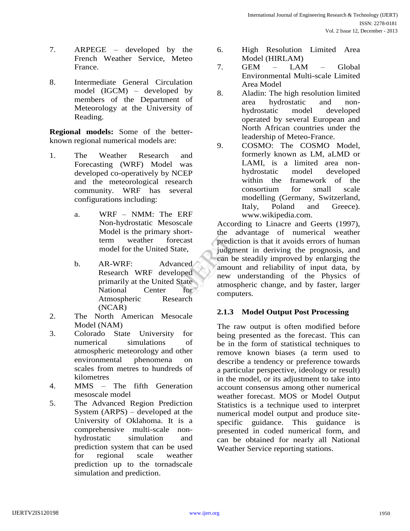- 7. ARPEGE developed by the French Weather Service, Meteo France.
- 8. Intermediate General Circulation model (IGCM) – developed by members of the Department of Meteorology at the University of Reading.

**Regional models:** Some of the betterknown regional numerical models are:

- 1. The Weather Research and Forecasting (WRF) Model was developed co-operatively by NCEP and the meteorological research community. WRF has several configurations including:
	- a. WRF NMM: The ERF Non-hydrostatic Mesoscale Model is the primary shortterm weather forecast model for the United State,
	- b. AR-WRF: Advanced Research WRF developed primarily at the United State National Center for Atmospheric Research (NCAR)
- 2. The North American Mesocale Model (NAM)
- 3. Colorado State University for numerical simulations of atmospheric meteorology and other environmental phenomena on scales from metres to hundreds of kilometres
- 4. MMS The fifth Generation mesoscale model
- 5. The Advanced Region Prediction System (ARPS) – developed at the University of Oklahoma. It is a comprehensive multi-scale nonhydrostatic simulation and prediction system that can be used for regional scale weather prediction up to the tornadscale simulation and prediction.
- 6. High Resolution Limited Area Model (HIRLAM)
- 7. GEM LAM Global Environmental Multi-scale Limited Area Model
- 8. Aladin: The high resolution limited area hydrostatic and nonhydrostatic model developed operated by several European and North African countries under the leadership of Meteo-France.
- 9. COSMO: The COSMO Model, formerly known as LM, aLMD or LAMI, is a limited area nonhydrostatic model developed within the framework of the consortium for small scale modelling (Germany, Switzerland, Italy, Poland and Greece). www.wikipedia.com.

According to Linacre and Geerts (1997), the advantage of numerical weather prediction is that it avoids errors of human judgment in deriving the prognosis, and can be steadily improved by enlarging the amount and reliability of input data, by new understanding of the Physics of atmospheric change, and by faster, larger computers. For-<br>
ast prediction<br>
e, judgmen<br>
can be st<br>
can be st<br>
atmosphe<br>
atte atmosphe<br>
for compute

# **2.1.3 Model Output Post Processing**

The raw output is often modified before being presented as the forecast. This can be in the form of statistical techniques to remove known biases (a term used to describe a tendency or preference towards a particular perspective, ideology or result) in the model, or its adjustment to take into account consensus among other numerical weather forecast. MOS or Model Output Statistics is a technique used to interpret numerical model output and produce sitespecific guidance. This guidance is presented in coded numerical form, and can be obtained for nearly all National Weather Service reporting stations.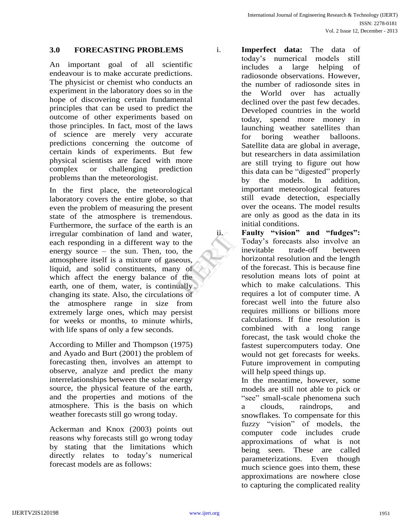#### **3.0 FORECASTING PROBLEMS**

An important goal of all scientific endeavour is to make accurate predictions. The physicist or chemist who conducts an experiment in the laboratory does so in the hope of discovering certain fundamental principles that can be used to predict the outcome of other experiments based on those principles. In fact, most of the laws of science are merely very accurate predictions concerning the outcome of certain kinds of experiments. But few physical scientists are faced with more complex or challenging prediction problems than the meteorologist.

In the first place, the meteorological laboratory covers the entire globe, so that even the problem of measuring the present state of the atmosphere is tremendous. Furthermore, the surface of the earth is an irregular combination of land and water, each responding in a different way to the energy source – the sun. Then, too, the atmosphere itself is a mixture of gaseous, liquid, and solid constituents, many of which affect the energy balance of the earth, one of them, water, is continually changing its state. Also, the circulations of the atmosphere range in size from extremely large ones, which may persist for weeks or months, to minute whirls, with life spans of only a few seconds. Exer, the T<br>
the T<br>
the T<br>
us, h<br>
of C<br>
the T<br>
ully

According to Miller and Thompson (1975) and Ayado and Burt (2001) the problem of forecasting then, involves an attempt to observe, analyze and predict the many interrelationships between the solar energy source, the physical feature of the earth, and the properties and motions of the atmosphere. This is the basis on which weather forecasts still go wrong today.

Ackerman and Knox (2003) points out reasons why forecasts still go wrong today by stating that the limitations which directly relates to today's numerical forecast models are as follows:

- i. **Imperfect data:** The data of today's numerical models still includes a large helping of radiosonde observations. However, the number of radiosonde sites in the World over has actually declined over the past few decades. Developed countries in the world today, spend more money in launching weather satellites than for boring weather balloons. Satellite data are global in average, but researchers in data assimilation are still trying to figure out how this data can be "digested" properly by the models. In addition, important meteorological features still evade detection, especially over the oceans. The model results are only as good as the data in its initial conditions. ii. **Faulty "vision" and "fudges":**
	- Today's forecasts also involve an inevitable trade-off between horizontal resolution and the length of the forecast. This is because fine resolution means lots of point at which to make calculations. This requires a lot of computer time. A forecast well into the future also requires millions or billions more calculations. If fine resolution is combined with a long range forecast, the task would choke the fastest supercomputers today. One would not get forecasts for weeks. Future improvement in computing will help speed things up.

In the meantime, however, some models are still not able to pick or "see" small-scale phenomena such a clouds, raindrops, and snowflakes. To compensate for this fuzzy "vision" of models, the computer code includes crude approximations of what is not being seen. These are called parameterizations. Even though much science goes into them, these approximations are nowhere close to capturing the complicated reality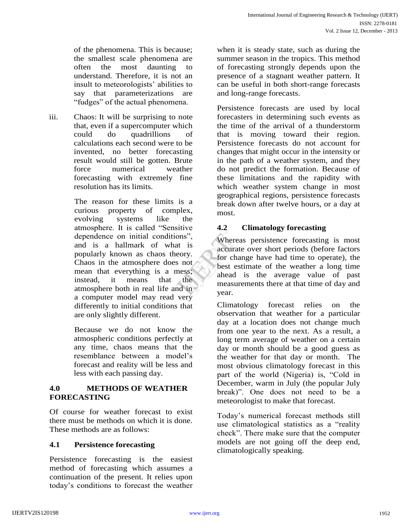of the phenomena. This is because; the smallest scale phenomena are often the most daunting to understand. Therefore, it is not an insult to meteorologists' abilities to say that parameterizations are "fudges" of the actual phenomena.

iii. Chaos: It will be surprising to note that, even if a supercomputer which could do quadrillions of calculations each second were to be invented, no better forecasting result would still be gotten. Brute force numerical weather forecasting with extremely fine resolution has its limits.

> The reason for these limits is a curious property of complex, evolving systems like the atmosphere. It is called "Sensitive dependence on initial conditions", and is a hallmark of what is popularly known as chaos theory. Chaos in the atmosphere does not mean that everything is a mess; instead, it means that the atmosphere both in real life and in a computer model may read very differently to initial conditions that are only slightly different.

Because we do not know the atmospheric conditions perfectly at any time, chaos means that the resemblance between a model's forecast and reality will be less and less with each passing day.

## **4.0 METHODS OF WEATHER FORECASTING**

Of course for weather forecast to exist there must be methods on which it is done. These methods are as follows:

# **4.1 Persistence forecasting**

Persistence forecasting is the easiest method of forecasting which assumes a continuation of the present. It relies upon today's conditions to forecast the weather when it is steady state, such as during the summer season in the tropics. This method of forecasting strongly depends upon the presence of a stagnant weather pattern. It can be useful in both short-range forecasts and long-range forecasts.

Persistence forecasts are used by local forecasters in determining such events as the time of the arrival of a thunderstorm that is moving toward their region. Persistence forecasts do not account for changes that might occur in the intensity or in the path of a weather system, and they do not predict the formation. Because of these limitations and the rapidity with which weather system change in most geographical regions, persistence forecasts break down after twelve hours, or a day at most.

## **4.2 Climatology forecasting**

Whereas persistence forecasting is most accurate over short periods (before factors for change have had time to operate), the best estimate of the weather a long time ahead is the average value of past measurements there at that time of day and year. IS",<br>
IS",<br>
IS",<br>
IS",<br>
IS",<br>
IS",<br>
IS",<br>
IS",<br>
IS",<br>
IS",<br>
IS",<br>
IS",<br>
IS",<br>
IS",<br>
IS",<br>
IS",<br>
IS",<br>
IS",<br>
IS",<br>
IS",<br>
IS",<br>
IS",<br>
IS",<br>
IS",<br>
IS",<br>
IS",<br>
IS",<br>
IS",<br>
IS",<br>
IS",<br>
IS",<br>
IS",<br>
IS",<br>
IS",<br>
IS",<br>
IS",<br>
IS",<br>

> Climatology forecast relies on the observation that weather for a particular day at a location does not change much from one year to the next. As a result, a long term average of weather on a certain day or month should be a good guess as the weather for that day or month. The most obvious climatology forecast in this part of the world (Nigeria) is, "Cold in December, warm in July (the popular July break)". One does not need to be a meteorologist to make that forecast.

Today's numerical forecast methods still use climatological statistics as a "reality check". There make sure that the computer models are not going off the deep end, climatologically speaking.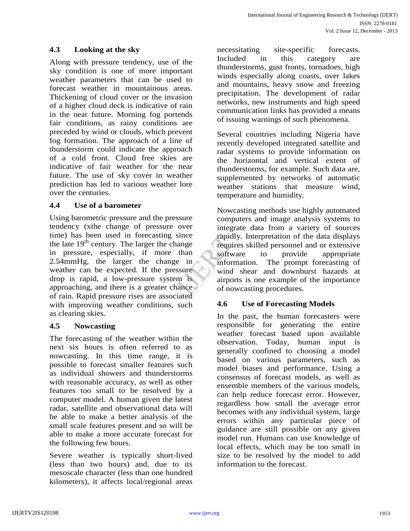## **4.3 Looking at the sky**

Along with pressure tendency, use of the sky condition is one of more important weather parameters that can be used to forecast weather in mountainous areas. Thickening of cloud cover or the invasion of a higher cloud deck is indicative of rain in the near future. Morning fog portends fair conditions, as rainy conditions are preceded by wind or clouds, which prevent fog formation. The approach of a line of thunderstorm could indicate the approach of a cold front. Cloud free skies are indicative of fair weather for the near future. The use of sky cover in weather prediction has led to various weather lore over the centuries.

#### **4.4 Use of a barometer**

Using barometric pressure and the pressure tendency (xthe change of pressure over time) has been used in forecasting since the late  $19<sup>th</sup>$  century. The larger the change in pressure, especially, if more than 2.54mmHg, the larger the change in weather can be expected. If the pressure drop is rapid, a low-pressure system is approaching, and there is a greater chance of rain. Rapid pressure rises are associated with improving weather conditions, such as clearing skies.

## **4.5 Nowcasting**

The forecasting of the weather within the next six hours is often referred to as nowcasting. In this time range, it is possible to forecast smaller features such as individual showers and thunderstorms with reasonable accuracy, as well as other features too small to be resolved by a computer model. A human given the latest radar, satellite and observational data will be able to make a better analysis of the small scale features present and so will be able to make a more accurate forecast for the following few hours.

Severe weather is typically short-lived (less than two hours) and, due to its mesoscale character (less than one hundred kilometers), it affects local/regional areas necessitating site-specific forecasts. Included in this category are thunderstorms, gust fronts, tornadoes, high winds especially along coasts, over lakes and mountains, heavy snow and freezing precipitation. The development of radar networks, new instruments and high speed communication links has provided a means of issuing warnings of such phenomena.

Several countries including Nigeria have recently developed integrated satellite and radar systems to provide information on the horizontal and vertical extent of thunderstorms, for example. Such data are, supplemented by networks of automatic weather stations that measure wind, temperature and humidity.

Nowcasting methods use highly automated computers and image analysis systems to integrate data from a variety of sources rapidly. Interpretation of the data displays requires skilled personnel and or extensive software to provide appropriate information. The prompt forecasting of wind shear and downburst hazards at airports is one example of the importance of nowcasting procedures. nce rapidly.<br>
1991 requires<br>
1991 requires<br>
1991 informat<br>
1991 informat<br>
1991 informat<br>
1991 informat<br>
1991 informat<br>
1991 informat<br>
1991 informat<br>
1991 informat<br>
1991 informat<br>
1991 informat<br>
1991 of nowca

## **4.6 Use of Forecasting Models**

In the past, the human forecasters were responsible for generating the entire weather forecast based upon available observation. Today, human input is generally confined to choosing a model based on various parameters, such as model biases and performance. Using a consensus of forecast models, as well as ensemble members of the various models, can help reduce forecast error. However, regardless how small the average error becomes with any individual system, large errors within any particular piece of guidance are still possible on any given model run. Humans can use knowledge of local effects, which may be too small in size to be resolved by the model to add information to the forecast.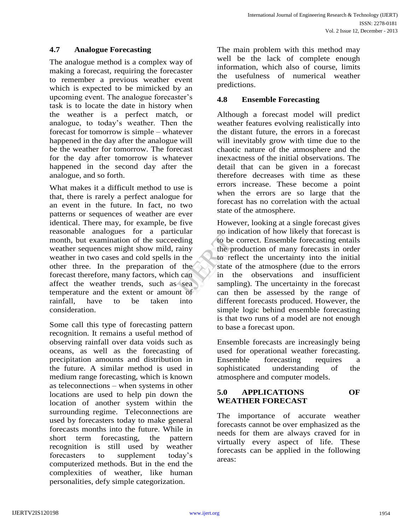## **4.7 Analogue Forecasting**

The analogue method is a complex way of making a forecast, requiring the forecaster to remember a previous weather event which is expected to be mimicked by an upcoming event. The analogue forecaster's task is to locate the date in history when the weather is a perfect match, or analogue, to today's weather. Then the forecast for tomorrow is simple – whatever happened in the day after the analogue will be the weather for tomorrow. The forecast for the day after tomorrow is whatever happened in the second day after the analogue, and so forth.

What makes it a difficult method to use is that, there is rarely a perfect analogue for an event in the future. In fact, no two patterns or sequences of weather are ever identical. There may, for example, be five reasonable analogues for a particular month, but examination of the succeeding weather sequences might show mild, rainy weather in two cases and cold spells in the other three. In the preparation of the forecast therefore, many factors, which can affect the weather trends, such as sea temperature and the extent or amount of rainfall, have to be taken into consideration.

Some call this type of forecasting pattern recognition. It remains a useful method of observing rainfall over data voids such as oceans, as well as the forecasting of precipitation amounts and distribution in the future. A similar method is used in medium range forecasting, which is known as teleconnections – when systems in other locations are used to help pin down the location of another system within the surrounding regime. Teleconnections are used by forecasters today to make general forecasts months into the future. While in short term forecasting, the pattern recognition is still used by weather forecasters to supplement today's computerized methods. But in the end the complexities of weather, like human personalities, defy simple categorization.

The main problem with this method may well be the lack of complete enough information, which also of course, limits the usefulness of numerical weather predictions.

#### **4.8 Ensemble Forecasting**

Although a forecast model will predict weather features evolving realistically into the distant future, the errors in a forecast will inevitably grow with time due to the chaotic nature of the atmosphere and the inexactness of the initial observations. The detail that can be given in a forecast therefore decreases with time as these errors increase. These become a point when the errors are so large that the forecast has no correlation with the actual state of the atmosphere.

However, looking at a single forecast gives no indication of how likely that forecast is to be correct. Ensemble forecasting entails the production of many forecasts in order to reflect the uncertainty into the initial state of the atmosphere (due to the errors in the observations and insufficient sampling). The uncertainty in the forecast can then be assessed by the range of different forecasts produced. However, the simple logic behind ensemble forecasting is that two runs of a model are not enough to base a forecast upon. The moment<br>
ing to be contracted<br>
iny the production<br>
the state of<br>
the state of<br>
sea<br>
of can there

> Ensemble forecasts are increasingly being used for operational weather forecasting. Ensemble forecasting requires a sophisticated understanding of the atmosphere and computer models.

## **5.0 APPLICATIONS OF WEATHER FORECAST**

The importance of accurate weather forecasts cannot be over emphasized as the needs for them are always craved for in virtually every aspect of life. These forecasts can be applied in the following areas: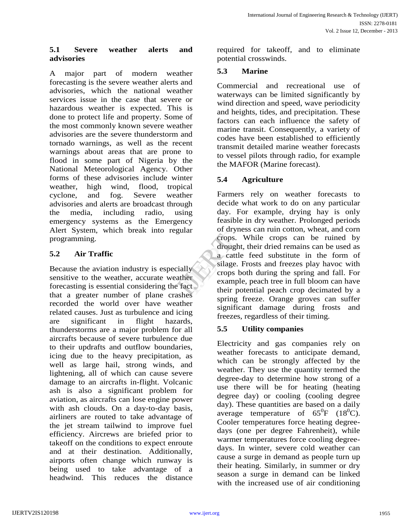## **5.1 Severe weather alerts and advisories**

A major part of modern weather forecasting is the severe weather alerts and advisories, which the national weather services issue in the case that severe or hazardous weather is expected. This is done to protect life and property. Some of the most commonly known severe weather advisories are the severe thunderstorm and tornado warnings, as well as the recent warnings about areas that are prone to flood in some part of Nigeria by the National Meteorological Agency. Other forms of these advisories include winter weather, high wind, flood, tropical cyclone, and fog. Severe weather advisories and alerts are broadcast through the media, including radio, using emergency systems as the Emergency Alert System, which break into regular programming.

# **5.2 Air Traffic**

Because the aviation industry is especially sensitive to the weather, accurate weather forecasting is essential considering the fact that a greater number of plane crashes recorded the world over have weather related causes. Just as turbulence and icing are significant in flight hazards, thunderstorms are a major problem for all aircrafts because of severe turbulence due to their updrafts and outflow boundaries, icing due to the heavy precipitation, as well as large hail, strong winds, and lightening, all of which can cause severe damage to an aircrafts in-flight. Volcanic ash is also a significant problem for aviation, as aircrafts can lose engine power with ash clouds. On a day-to-day basis, airliners are routed to take advantage of the jet stream tailwind to improve fuel efficiency. Aircrews are briefed prior to takeoff on the conditions to expect enroute and at their destination. Additionally, airports often change which runway is being used to take advantage of a headwind. This reduces the distance

required for takeoff, and to eliminate potential crosswinds.

# **5.3 Marine**

Commercial and recreational use of waterways can be limited significantly by wind direction and speed, wave periodicity and heights, tides, and precipitation. These factors can each influence the safety of marine transit. Consequently, a variety of codes have been established to efficiently transmit detailed marine weather forecasts to vessel pilots through radio, for example the MAFOR (Marine forecast).

# **5.4 Agriculture**

Farmers rely on weather forecasts to decide what work to do on any particular day. For example, drying hay is only feasible in dry weather. Prolonged periods of dryness can ruin cotton, wheat, and corn crops. While crops can be ruined by drought, their dried remains can be used as a cattle feed substitute in the form of silage. Frosts and freezes play havoc with crops both during the spring and fall. For example, peach tree in full bloom can have their potential peach crop decimated by a spring freeze. Orange groves can suffer significant damage during frosts and freezes, regardless of their timing. rational crops. V<br>
drought,<br>
a cattle<br>
silage. F<br>
crops bo<br>
example,<br>
act<br>
her pot

# **5.5 Utility companies**

Electricity and gas companies rely on weather forecasts to anticipate demand, which can be strongly affected by the weather. They use the quantity termed the degree-day to determine how strong of a use there will be for heating (heating degree day) or cooling (cooling degree day). These quantities are based on a daily average temperature of  $65^{\circ}F$   $(18^{\circ}C)$ . Cooler temperatures force heating degreedays (one per degree Fahrenheit), while warmer temperatures force cooling degreedays. In winter, severe cold weather can cause a surge in demand as people turn up their heating. Similarly, in summer or dry season a surge in demand can be linked with the increased use of air conditioning